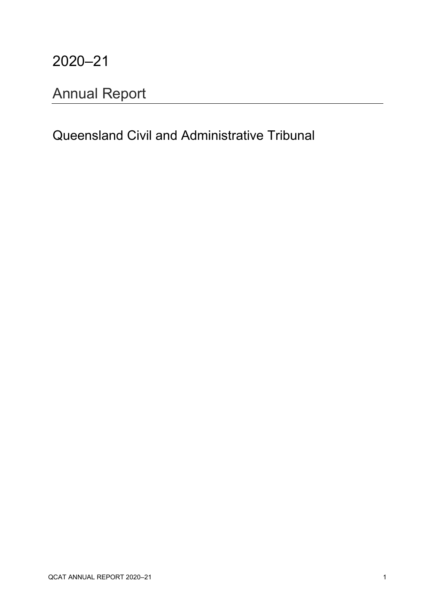### 2020–21

# <span id="page-0-0"></span>Annual Report

### Queensland Civil and Administrative Tribunal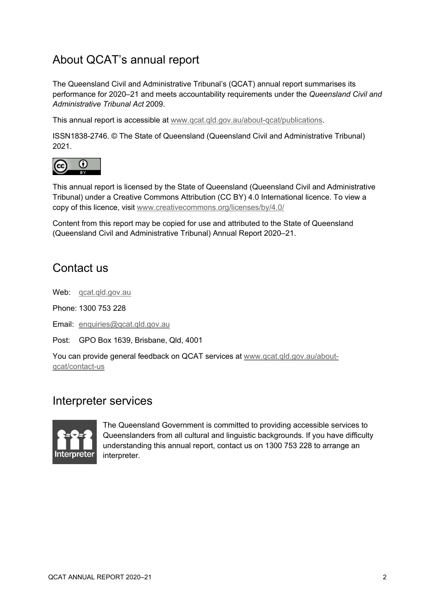### About QCAT's annual report

The Queensland Civil and Administrative Tribunal's (QCAT) annual report summarises its performance for 2020–21 and meets accountability requirements under the *Queensland Civil and Administrative Tribunal Act* 2009.

This annual report is accessible at [www.qcat.qld.gov.au/about-qcat/publications.](http://www.qcat.qld.gov.au/about-qcat/publications)

ISSN1838-2746. © The State of Queensland (Queensland Civil and Administrative Tribunal) 2021.



This annual report is licensed by the State of Queensland (Queensland Civil and Administrative Tribunal) under a Creative Commons Attribution (CC BY) 4.0 International licence. To view a copy of this licence, visit [www.creativecommons.org/licenses/by/4.0/](http://www.creativecommons.org/licenses/by/4.0/)

Content from this report may be copied for use and attributed to the State of Queensland (Queensland Civil and Administrative Tribunal) Annual Report 2020–21.

#### Contact us

Web: [qcat.qld.gov.au](http://www.qcat.qld.gov.au/)

Phone: 1300 753 228

Email: [enquiries@qcat.qld.gov.au](mailto:enquiries@qcat.qld.gov.au)

Post: GPO Box 1639, Brisbane, Qld, 4001

You can provide general feedback on QCAT services at [www.qcat.qld.gov.au/about](http://www.qcat.qld.gov.au/about-qcat/contact-us)[qcat/contact-us](http://www.qcat.qld.gov.au/about-qcat/contact-us)

#### Interpreter services



The Queensland Government is committed to providing accessible services to Queenslanders from all cultural and linguistic backgrounds. If you have difficulty understanding this annual report, contact us on 1300 753 228 to arrange an interpreter.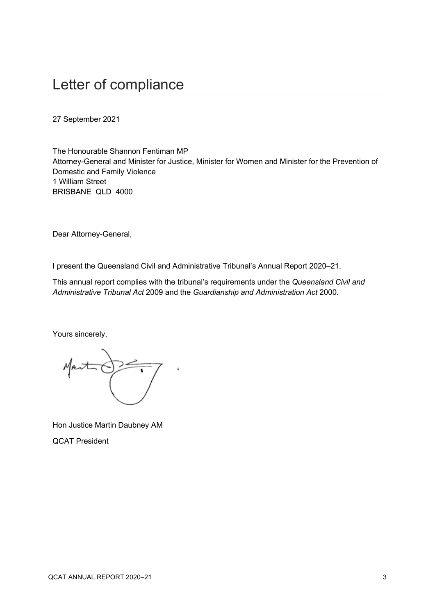### <span id="page-2-0"></span>Letter of compliance

27 September 2021

The Honourable Shannon Fentiman MP Attorney-General and Minister for Justice, Minister for Women and Minister for the Prevention of Domestic and Family Violence 1 William Street BRISBANE QLD 4000

Dear Attorney-General,

I present the Queensland Civil and Administrative Tribunal's Annual Report 2020–21.

This annual report complies with the tribunal's requirements under the *Queensland Civil and Administrative Tribunal Act* 2009 and the *Guardianship and Administration Act* 2000.

Yours sincerely,

Mart

Hon Justice Martin Daubney AM QCAT President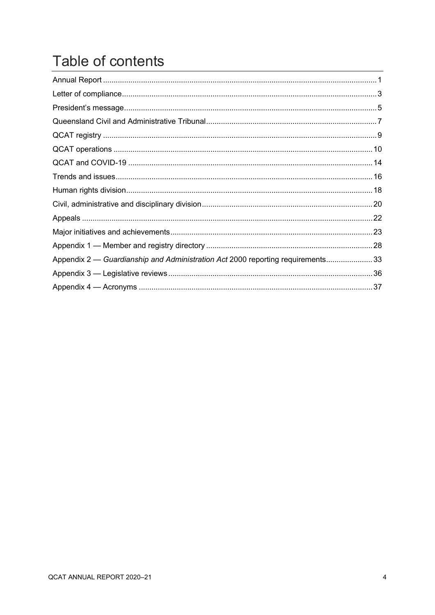# Table of contents

| Appendix 2 — Guardianship and Administration Act 2000 reporting requirements33 |  |
|--------------------------------------------------------------------------------|--|
|                                                                                |  |
|                                                                                |  |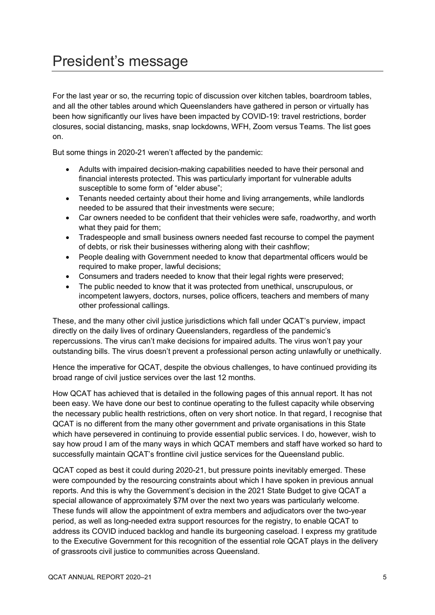## <span id="page-4-0"></span>President's message

For the last year or so, the recurring topic of discussion over kitchen tables, boardroom tables, and all the other tables around which Queenslanders have gathered in person or virtually has been how significantly our lives have been impacted by COVID-19: travel restrictions, border closures, social distancing, masks, snap lockdowns, WFH, Zoom versus Teams. The list goes on.

But some things in 2020-21 weren't affected by the pandemic:

- Adults with impaired decision-making capabilities needed to have their personal and financial interests protected. This was particularly important for vulnerable adults susceptible to some form of "elder abuse";
- Tenants needed certainty about their home and living arrangements, while landlords needed to be assured that their investments were secure;
- Car owners needed to be confident that their vehicles were safe, roadworthy, and worth what they paid for them;
- Tradespeople and small business owners needed fast recourse to compel the payment of debts, or risk their businesses withering along with their cashflow;
- People dealing with Government needed to know that departmental officers would be required to make proper, lawful decisions;
- Consumers and traders needed to know that their legal rights were preserved;
- The public needed to know that it was protected from unethical, unscrupulous, or incompetent lawyers, doctors, nurses, police officers, teachers and members of many other professional callings.

These, and the many other civil justice jurisdictions which fall under QCAT's purview, impact directly on the daily lives of ordinary Queenslanders, regardless of the pandemic's repercussions. The virus can't make decisions for impaired adults. The virus won't pay your outstanding bills. The virus doesn't prevent a professional person acting unlawfully or unethically.

Hence the imperative for QCAT, despite the obvious challenges, to have continued providing its broad range of civil justice services over the last 12 months.

How QCAT has achieved that is detailed in the following pages of this annual report. It has not been easy. We have done our best to continue operating to the fullest capacity while observing the necessary public health restrictions, often on very short notice. In that regard, I recognise that QCAT is no different from the many other government and private organisations in this State which have persevered in continuing to provide essential public services. I do, however, wish to say how proud I am of the many ways in which QCAT members and staff have worked so hard to successfully maintain QCAT's frontline civil justice services for the Queensland public.

QCAT coped as best it could during 2020-21, but pressure points inevitably emerged. These were compounded by the resourcing constraints about which I have spoken in previous annual reports. And this is why the Government's decision in the 2021 State Budget to give QCAT a special allowance of approximately \$7M over the next two years was particularly welcome. These funds will allow the appointment of extra members and adjudicators over the two-year period, as well as long-needed extra support resources for the registry, to enable QCAT to address its COVID induced backlog and handle its burgeoning caseload. I express my gratitude to the Executive Government for this recognition of the essential role QCAT plays in the delivery of grassroots civil justice to communities across Queensland.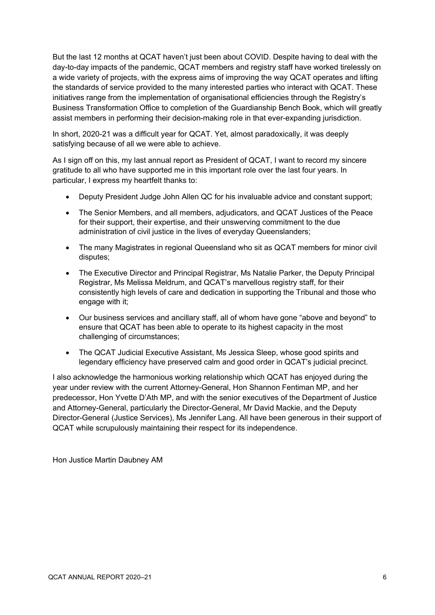But the last 12 months at QCAT haven't just been about COVID. Despite having to deal with the day-to-day impacts of the pandemic, QCAT members and registry staff have worked tirelessly on a wide variety of projects, with the express aims of improving the way QCAT operates and lifting the standards of service provided to the many interested parties who interact with QCAT. These initiatives range from the implementation of organisational efficiencies through the Registry's Business Transformation Office to completion of the Guardianship Bench Book, which will greatly assist members in performing their decision-making role in that ever-expanding jurisdiction.

In short, 2020-21 was a difficult year for QCAT. Yet, almost paradoxically, it was deeply satisfying because of all we were able to achieve.

As I sign off on this, my last annual report as President of QCAT, I want to record my sincere gratitude to all who have supported me in this important role over the last four years. In particular, I express my heartfelt thanks to:

- Deputy President Judge John Allen QC for his invaluable advice and constant support;
- The Senior Members, and all members, adjudicators, and QCAT Justices of the Peace for their support, their expertise, and their unswerving commitment to the due administration of civil justice in the lives of everyday Queenslanders;
- The many Magistrates in regional Queensland who sit as QCAT members for minor civil disputes;
- The Executive Director and Principal Registrar, Ms Natalie Parker, the Deputy Principal Registrar, Ms Melissa Meldrum, and QCAT's marvellous registry staff, for their consistently high levels of care and dedication in supporting the Tribunal and those who engage with it;
- Our business services and ancillary staff, all of whom have gone "above and beyond" to ensure that QCAT has been able to operate to its highest capacity in the most challenging of circumstances;
- The QCAT Judicial Executive Assistant, Ms Jessica Sleep, whose good spirits and legendary efficiency have preserved calm and good order in QCAT's judicial precinct.

I also acknowledge the harmonious working relationship which QCAT has enjoyed during the year under review with the current Attorney-General, Hon Shannon Fentiman MP, and her predecessor, Hon Yvette D'Ath MP, and with the senior executives of the Department of Justice and Attorney-General, particularly the Director-General, Mr David Mackie, and the Deputy Director-General (Justice Services), Ms Jennifer Lang. All have been generous in their support of QCAT while scrupulously maintaining their respect for its independence.

Hon Justice Martin Daubney AM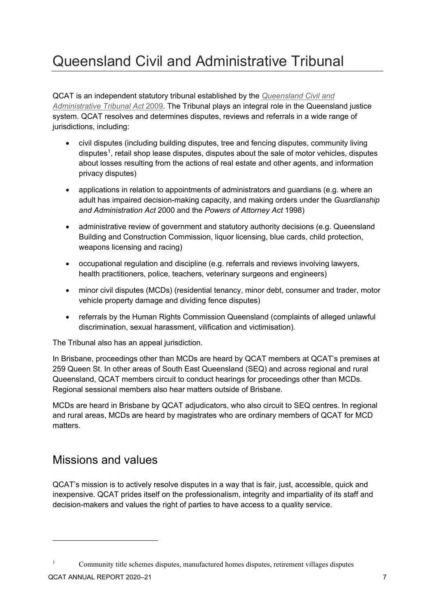# <span id="page-6-0"></span>Queensland Civil and Administrative Tribunal

QCAT is an independent statutory tribunal established by the *[Queensland Civil and](https://www.legislation.qld.gov.au/LEGISLTN/CURRENT/Q/QldCivAdTrA09.pdf)  [Administrative Tribunal Act](https://www.legislation.qld.gov.au/LEGISLTN/CURRENT/Q/QldCivAdTrA09.pdf)* 2009. The Tribunal plays an integral role in the Queensland justice system. QCAT resolves and determines disputes, reviews and referrals in a wide range of jurisdictions, including:

- civil disputes (including building disputes, tree and fencing disputes, community living disputes<sup>[1](#page-6-1)</sup>, retail shop lease disputes, disputes about the sale of motor vehicles, disputes about losses resulting from the actions of real estate and other agents, and information privacy disputes)
- applications in relation to appointments of administrators and guardians (e.g. where an adult has impaired decision-making capacity, and making orders under the *Guardianship and Administration Act* 2000 and the *Powers of Attorney Act* 1998)
- administrative review of government and statutory authority decisions (e.g. Queensland Building and Construction Commission, liquor licensing, blue cards, child protection, weapons licensing and racing)
- occupational regulation and discipline (e.g. referrals and reviews involving lawyers, health practitioners, police, teachers, veterinary surgeons and engineers)
- minor civil disputes (MCDs) (residential tenancy, minor debt, consumer and trader, motor vehicle property damage and dividing fence disputes)
- referrals by the Human Rights Commission Queensland (complaints of alleged unlawful) discrimination, sexual harassment, vilification and victimisation).

The Tribunal also has an appeal jurisdiction.

In Brisbane, proceedings other than MCDs are heard by QCAT members at QCAT's premises at 259 Queen St. In other areas of South East Queensland (SEQ) and across regional and rural Queensland, QCAT members circuit to conduct hearings for proceedings other than MCDs. Regional sessional members also hear matters outside of Brisbane.

MCDs are heard in Brisbane by QCAT adjudicators, who also circuit to SEQ centres. In regional and rural areas, MCDs are heard by magistrates who are ordinary members of QCAT for MCD matters.

#### Missions and values

QCAT's mission is to actively resolve disputes in a way that is fair, just, accessible, quick and inexpensive. QCAT prides itself on the professionalism, integrity and impartiality of its staff and decision-makers and values the right of parties to have access to a quality service.

<span id="page-6-1"></span><sup>1</sup> Community title schemes disputes, manufactured homes disputes, retirement villages disputes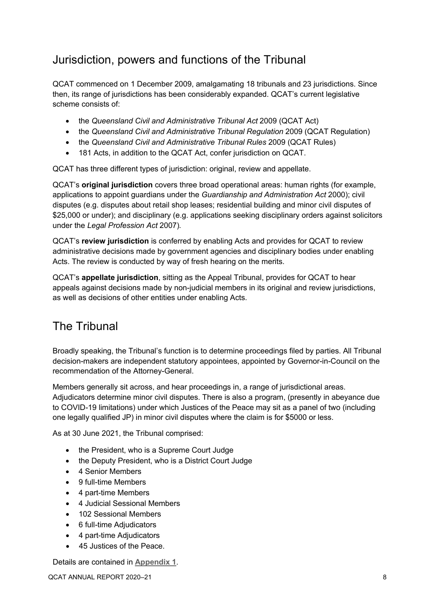### Jurisdiction, powers and functions of the Tribunal

QCAT commenced on 1 December 2009, amalgamating 18 tribunals and 23 jurisdictions. Since then, its range of jurisdictions has been considerably expanded. QCAT's current legislative scheme consists of:

- the *Queensland Civil and Administrative Tribunal Act* 2009 (QCAT Act)
- the *Queensland Civil and Administrative Tribunal Regulation* 2009 (QCAT Regulation)
- the *Queensland Civil and Administrative Tribunal Rules* 2009 (QCAT Rules)
- 181 Acts, in addition to the QCAT Act, confer jurisdiction on QCAT.

QCAT has three different types of jurisdiction: original, review and appellate.

QCAT's **original jurisdiction** covers three broad operational areas: human rights (for example, applications to appoint guardians under the *Guardianship and Administration Act* 2000); civil disputes (e.g. disputes about retail shop leases; residential building and minor civil disputes of \$25,000 or under); and disciplinary (e.g. applications seeking disciplinary orders against solicitors under the *Legal Profession Act* 2007)*.* 

QCAT's **review jurisdiction** is conferred by enabling Acts and provides for QCAT to review administrative decisions made by government agencies and disciplinary bodies under enabling Acts. The review is conducted by way of fresh hearing on the merits.

QCAT's **appellate jurisdiction**, sitting as the Appeal Tribunal, provides for QCAT to hear appeals against decisions made by non-judicial members in its original and review jurisdictions, as well as decisions of other entities under enabling Acts.

### The Tribunal

Broadly speaking, the Tribunal's function is to determine proceedings filed by parties. All Tribunal decision-makers are independent statutory appointees, appointed by Governor-in-Council on the recommendation of the Attorney-General.

Members generally sit across, and hear proceedings in, a range of jurisdictional areas. Adjudicators determine minor civil disputes. There is also a program, (presently in abeyance due to COVID-19 limitations) under which Justices of the Peace may sit as a panel of two (including one legally qualified JP) in minor civil disputes where the claim is for \$5000 or less.

As at 30 June 2021, the Tribunal comprised:

- the President, who is a Supreme Court Judge
- the Deputy President, who is a District Court Judge
- 4 Senior Members
- 9 full-time Members
- 4 part-time Members
- 4 Judicial Sessional Members
- 102 Sessional Members
- 6 full-time Adjudicators
- 4 part-time Adjudicators
- 45 Justices of the Peace.

Details are contained in **[Appendix 1](#page-27-0)**.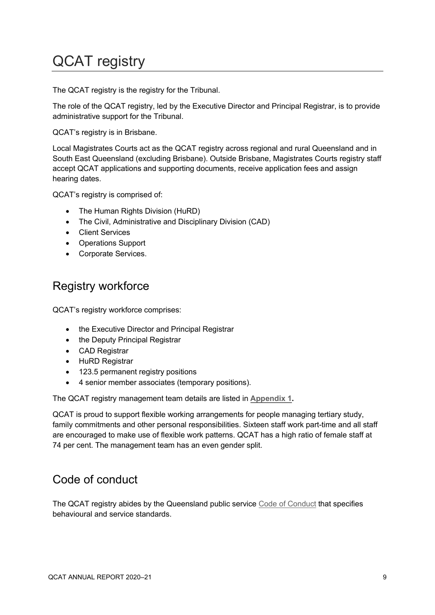# <span id="page-8-0"></span>QCAT registry

The QCAT registry is the registry for the Tribunal.

The role of the QCAT registry, led by the Executive Director and Principal Registrar, is to provide administrative support for the Tribunal.

QCAT's registry is in Brisbane.

Local Magistrates Courts act as the QCAT registry across regional and rural Queensland and in South East Queensland (excluding Brisbane). Outside Brisbane, Magistrates Courts registry staff accept QCAT applications and supporting documents, receive application fees and assign hearing dates.

QCAT's registry is comprised of:

- The Human Rights Division (HuRD)
- The Civil, Administrative and Disciplinary Division (CAD)
- Client Services
- Operations Support
- Corporate Services.

#### Registry workforce

QCAT's registry workforce comprises:

- the Executive Director and Principal Registrar
- the Deputy Principal Registrar
- CAD Registrar
- HuRD Registrar
- 123.5 permanent registry positions
- 4 senior member associates (temporary positions).

The QCAT registry management team details are listed in **[Appendix 1.](#page-27-0)**

QCAT is proud to support flexible working arrangements for people managing tertiary study, family commitments and other personal responsibilities. Sixteen staff work part-time and all staff are encouraged to make use of flexible work patterns. QCAT has a high ratio of female staff at 74 per cent. The management team has an even gender split.

### Code of conduct

The QCAT registry abides by the Queensland public service [Code of Conduct](https://www.forgov.qld.gov.au/file/11856/download?token=_56PSLue) that specifies behavioural and service standards.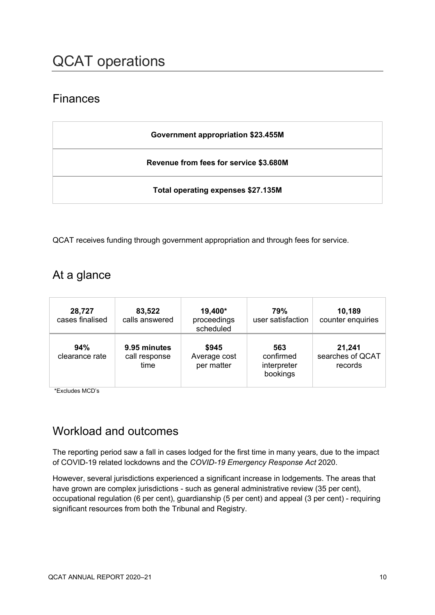### <span id="page-9-0"></span>Finances

| Government appropriation \$23.455M     |
|----------------------------------------|
| Revenue from fees for service \$3.680M |
| Total operating expenses \$27.135M     |

QCAT receives funding through government appropriation and through fees for service.

### At a glance

| 28,727<br>cases finalised | 83,522<br>calls answered              | 19,400*<br>proceedings<br>scheduled | 79%<br>user satisfaction                    | 10,189<br>counter enquiries           |
|---------------------------|---------------------------------------|-------------------------------------|---------------------------------------------|---------------------------------------|
| 94%<br>clearance rate     | 9.95 minutes<br>call response<br>time | \$945<br>Average cost<br>per matter | 563<br>confirmed<br>interpreter<br>bookings | 21,241<br>searches of QCAT<br>records |

\*Excludes MCD's

### <span id="page-9-1"></span>Workload and outcomes

The reporting period saw a fall in cases lodged for the first time in many years, due to the impact of COVID-19 related lockdowns and the *COVID-19 Emergency Response Act* 2020.

However, several jurisdictions experienced a significant increase in lodgements. The areas that have grown are complex jurisdictions - such as general administrative review (35 per cent), occupational regulation (6 per cent), guardianship (5 per cent) and appeal (3 per cent) - requiring significant resources from both the Tribunal and Registry.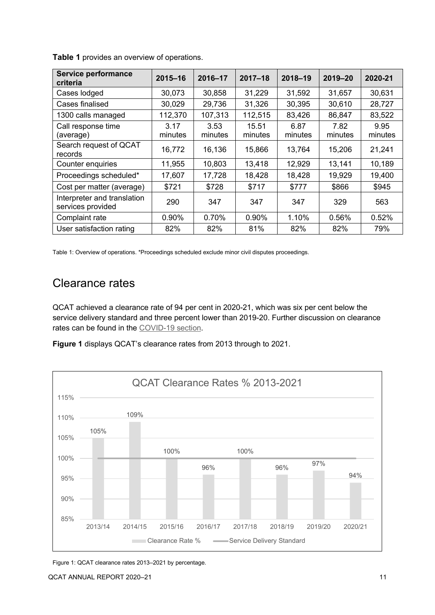| <b>Service performance</b><br>criteria           | $2015 - 16$     | 2016-17         | $2017 - 18$      | $2018 - 19$     | $2019 - 20$     | 2020-21         |
|--------------------------------------------------|-----------------|-----------------|------------------|-----------------|-----------------|-----------------|
| Cases lodged                                     | 30,073          | 30,858          | 31,229           | 31,592          | 31,657          | 30,631          |
| Cases finalised                                  | 30,029          | 29,736          | 31,326           | 30,395          | 30,610          | 28,727          |
| 1300 calls managed                               | 112,370         | 107,313         | 112,515          | 83,426          | 86,847          | 83,522          |
| Call response time<br>(average)                  | 3.17<br>minutes | 3.53<br>minutes | 15.51<br>minutes | 6.87<br>minutes | 7.82<br>minutes | 9.95<br>minutes |
| Search request of QCAT<br>records                | 16,772          | 16,136          | 15,866           | 13,764          | 15,206          | 21,241          |
| Counter enquiries                                | 11,955          | 10,803          | 13,418           | 12,929          | 13,141          | 10,189          |
| Proceedings scheduled*                           | 17,607          | 17,728          | 18,428           | 18,428          | 19,929          | 19,400          |
| Cost per matter (average)                        | \$721           | \$728           | \$717            | \$777           | \$866           | \$945           |
| Interpreter and translation<br>services provided | 290             | 347             | 347              | 347             | 329             | 563             |
| Complaint rate                                   | 0.90%           | 0.70%           | 0.90%            | 1.10%           | 0.56%           | 0.52%           |
| User satisfaction rating                         | 82%             | 82%             | 81%              | 82%             | 82%             | 79%             |

**Table 1** provides an overview of operations.

Table 1: Overview of operations. \*Proceedings scheduled exclude minor civil disputes proceedings.

#### Clearance rates

QCAT achieved a clearance rate of 94 per cent in 2020-21, which was six per cent below the service delivery standard and three percent lower than 2019-20. Further discussion on clearance rates can be found in the [COVID-19 section.](#page-13-1)





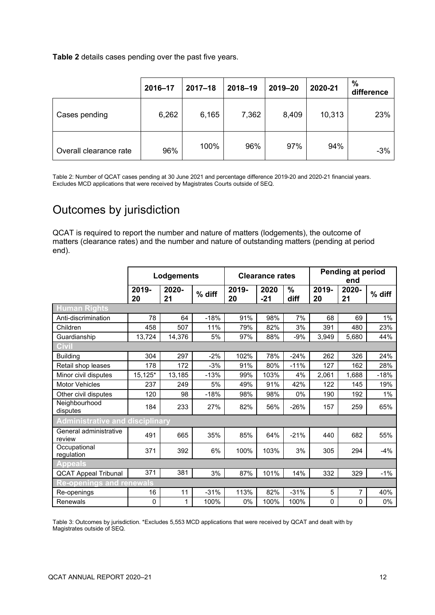**Table 2** details cases pending over the past five years.

|                        | 2016-17 | $2017 - 18$ | 2018-19 | 2019-20 | 2020-21 | $\%$<br>difference |
|------------------------|---------|-------------|---------|---------|---------|--------------------|
| Cases pending          | 6,262   | 6,165       | 7,362   | 8,409   | 10,313  | 23%                |
| Overall clearance rate | 96%     | 100%        | 96%     | 97%     | 94%     | $-3%$              |

Table 2: Number of QCAT cases pending at 30 June 2021 and percentage difference 2019-20 and 2020-21 financial years. Excludes MCD applications that were received by Magistrates Courts outside of SEQ.

### Outcomes by jurisdiction

QCAT is required to report the number and nature of matters (lodgements), the outcome of matters (clearance rates) and the number and nature of outstanding matters (pending at period end).

|                                        | Lodgements  |             | <b>Clearance rates</b> |             |               | Pending at period<br>end |             |             |        |
|----------------------------------------|-------------|-------------|------------------------|-------------|---------------|--------------------------|-------------|-------------|--------|
|                                        | 2019-<br>20 | 2020-<br>21 | % diff                 | 2019-<br>20 | 2020<br>$-21$ | $\%$<br>diff             | 2019-<br>20 | 2020-<br>21 | % diff |
| <b>Human Rights</b>                    |             |             |                        |             |               |                          |             |             |        |
| Anti-discrimination                    | 78          | 64          | $-18%$                 | 91%         | 98%           | 7%                       | 68          | 69          | 1%     |
| Children                               | 458         | 507         | 11%                    | 79%         | 82%           | 3%                       | 391         | 480         | 23%    |
| Guardianship                           | 13,724      | 14,376      | 5%                     | 97%         | 88%           | -9%                      | 3,949       | 5,680       | 44%    |
|                                        |             |             |                        |             |               |                          |             |             |        |
| <b>Building</b>                        | 304         | 297         | $-2%$                  | 102%        | 78%           | $-24%$                   | 262         | 326         | 24%    |
| Retail shop leases                     | 178         | 172         | $-3%$                  | 91%         | 80%           | $-11%$                   | 127         | 162         | 28%    |
| Minor civil disputes                   | 15,125*     | 13,185      | $-13%$                 | 99%         | 103%          | 4%                       | 2,061       | 1,688       | $-18%$ |
| <b>Motor Vehicles</b>                  | 237         | 249         | 5%                     | 49%         | 91%           | 42%                      | 122         | 145         | 19%    |
| Other civil disputes                   | 120         | 98          | $-18%$                 | 98%         | 98%           | 0%                       | 190         | 192         | 1%     |
| Neighbourhood<br>disputes              | 184         | 233         | 27%                    | 82%         | 56%           | $-26%$                   | 157         | 259         | 65%    |
| <b>Administrative and disciplinary</b> |             |             |                        |             |               |                          |             |             |        |
| General administrative<br>review       | 491         | 665         | 35%                    | 85%         | 64%           | $-21%$                   | 440         | 682         | 55%    |
| Occupational<br>regulation             | 371         | 392         | 6%                     | 100%        | 103%          | 3%                       | 305         | 294         | $-4%$  |
| <b>Appeals</b>                         |             |             |                        |             |               |                          |             |             |        |
| <b>QCAT Appeal Tribunal</b>            | 371         | 381         | 3%                     | 87%         | 101%          | 14%                      | 332         | 329         | $-1%$  |
| <b>Re-openings and renewals</b>        |             |             |                        |             |               |                          |             |             |        |
| Re-openings                            | 16          | 11          | $-31%$                 | 113%        | 82%           | $-31%$                   | 5           | 7           | 40%    |
| <b>Renewals</b>                        | 0           | 1           | 100%                   | 0%          | 100%          | 100%                     | $\Omega$    | 0           | $0\%$  |

Table 3: Outcomes by jurisdiction. \*Excludes 5,553 MCD applications that were received by QCAT and dealt with by Magistrates outside of SEQ.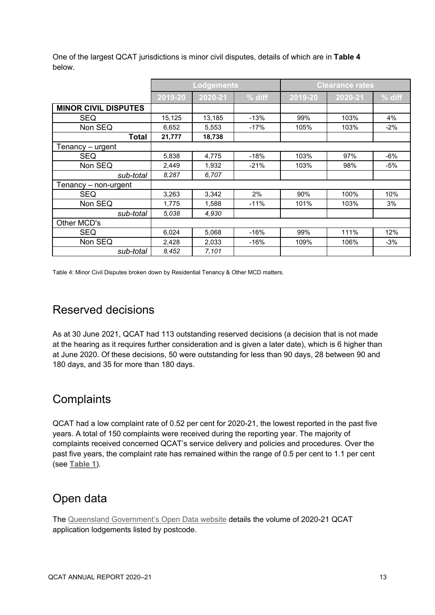|                             | <b>Lodgements</b> |         |        | <b>Clearance rates</b> |         |        |
|-----------------------------|-------------------|---------|--------|------------------------|---------|--------|
|                             | 2019-20           | 2020-21 | % diff | 2019-20                | 2020-21 | % diff |
| <b>MINOR CIVIL DISPUTES</b> |                   |         |        |                        |         |        |
| <b>SEQ</b>                  | 15,125            | 13,185  | $-13%$ | 99%                    | 103%    | 4%     |
| Non SEQ                     | 6,652             | 5,553   | $-17%$ | 105%                   | 103%    | $-2\%$ |
| <b>Total</b>                | 21,777            | 18,738  |        |                        |         |        |
| Tenancy – urgent            |                   |         |        |                        |         |        |
| <b>SEQ</b>                  | 5,838             | 4,775   | $-18%$ | 103%                   | 97%     | -6%    |
| Non SEQ                     | 2,449             | 1,932   | $-21%$ | 103%                   | 98%     | -5%    |
| sub-total                   | 8.287             | 6,707   |        |                        |         |        |
| Tenancy – non-urgent        |                   |         |        |                        |         |        |
| <b>SEQ</b>                  | 3,263             | 3,342   | 2%     | 90%                    | 100%    | 10%    |
| Non SEQ                     | 1,775             | 1,588   | $-11%$ | 101%                   | 103%    | 3%     |
| sub-total                   | 5,038             | 4,930   |        |                        |         |        |
| Other MCD's                 |                   |         |        |                        |         |        |
| <b>SEQ</b>                  | 6,024             | 5,068   | $-16%$ | 99%                    | 111%    | 12%    |
| Non SEQ                     | 2,428             | 2,033   | $-16%$ | 109%                   | 106%    | $-3%$  |
| sub-total                   | 8,452             | 7,101   |        |                        |         |        |

One of the largest QCAT jurisdictions is minor civil disputes, details of which are in **Table 4** below.

Table 4: Minor Civil Disputes broken down by Residential Tenancy & Other MCD matters.

### Reserved decisions

As at 30 June 2021, QCAT had 113 outstanding reserved decisions (a decision that is not made at the hearing as it requires further consideration and is given a later date), which is 6 higher than at June 2020. Of these decisions, 50 were outstanding for less than 90 days, 28 between 90 and 180 days, and 35 for more than 180 days.

### **Complaints**

QCAT had a low complaint rate of 0.52 per cent for 2020-21, the lowest reported in the past five years. A total of 150 complaints were received during the reporting year. The majority of complaints received concerned QCAT's service delivery and policies and procedures. Over the past five years, the complaint rate has remained within the range of 0.5 per cent to 1.1 per cent (see **[Table 1](#page-9-1)**).

### Open data

The [Queensland Government's Open Data website](https://data.qld.gov.au/dataset/qcat-matters) details the volume of 2020-21 QCAT application lodgements listed by postcode.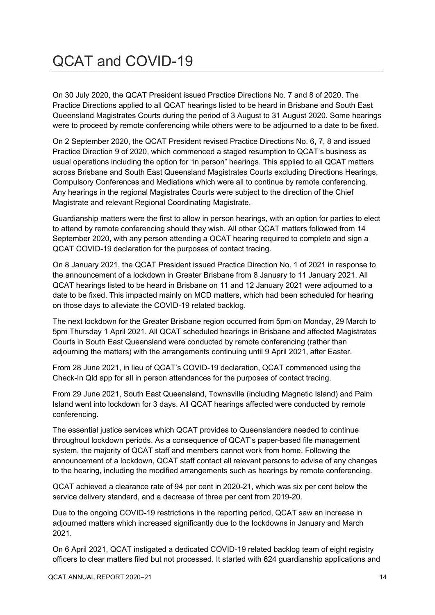# <span id="page-13-0"></span>QCAT and COVID-19

On 30 July 2020, the QCAT President issued Practice Directions No. 7 and 8 of 2020. The Practice Directions applied to all QCAT hearings listed to be heard in Brisbane and South East Queensland Magistrates Courts during the period of 3 August to 31 August 2020. Some hearings were to proceed by remote conferencing while others were to be adjourned to a date to be fixed.

On 2 September 2020, the QCAT President revised Practice Directions No. 6, 7, 8 and issued Practice Direction 9 of 2020, which commenced a staged resumption to QCAT's business as usual operations including the option for "in person" hearings. This applied to all QCAT matters across Brisbane and South East Queensland Magistrates Courts excluding Directions Hearings, Compulsory Conferences and Mediations which were all to continue by remote conferencing. Any hearings in the regional Magistrates Courts were subject to the direction of the Chief Magistrate and relevant Regional Coordinating Magistrate.

Guardianship matters were the first to allow in person hearings, with an option for parties to elect to attend by remote conferencing should they wish. All other QCAT matters followed from 14 September 2020, with any person attending a QCAT hearing required to complete and sign a QCAT COVID-19 declaration for the purposes of contact tracing.

On 8 January 2021, the QCAT President issued Practice Direction No. 1 of 2021 in response to the announcement of a lockdown in Greater Brisbane from 8 January to 11 January 2021. All QCAT hearings listed to be heard in Brisbane on 11 and 12 January 2021 were adjourned to a date to be fixed. This impacted mainly on MCD matters, which had been scheduled for hearing on those days to alleviate the COVID-19 related backlog.

The next lockdown for the Greater Brisbane region occurred from 5pm on Monday, 29 March to 5pm Thursday 1 April 2021. All QCAT scheduled hearings in Brisbane and affected Magistrates Courts in South East Queensland were conducted by remote conferencing (rather than adjourning the matters) with the arrangements continuing until 9 April 2021, after Easter.

From 28 June 2021, in lieu of QCAT's COVID-19 declaration, QCAT commenced using the Check-In Qld app for all in person attendances for the purposes of contact tracing.

From 29 June 2021, South East Queensland, Townsville (including Magnetic Island) and Palm Island went into lockdown for 3 days. All QCAT hearings affected were conducted by remote conferencing.

The essential justice services which QCAT provides to Queenslanders needed to continue throughout lockdown periods. As a consequence of QCAT's paper-based file management system, the majority of QCAT staff and members cannot work from home. Following the announcement of a lockdown, QCAT staff contact all relevant persons to advise of any changes to the hearing, including the modified arrangements such as hearings by remote conferencing.

<span id="page-13-1"></span>QCAT achieved a clearance rate of 94 per cent in 2020-21, which was six per cent below the service delivery standard, and a decrease of three per cent from 2019-20.

Due to the ongoing COVID-19 restrictions in the reporting period, QCAT saw an increase in adjourned matters which increased significantly due to the lockdowns in January and March 2021.

On 6 April 2021, QCAT instigated a dedicated COVID-19 related backlog team of eight registry officers to clear matters filed but not processed. It started with 624 guardianship applications and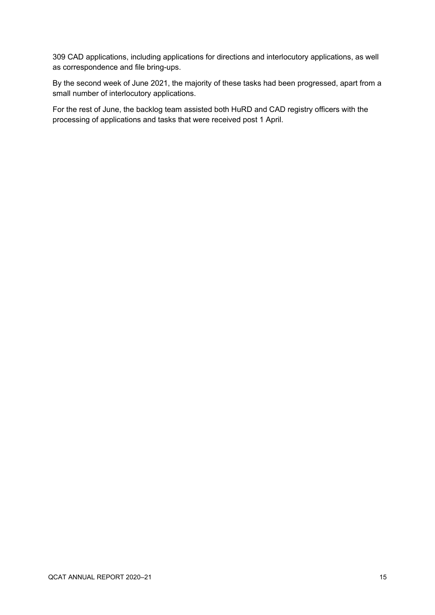309 CAD applications, including applications for directions and interlocutory applications, as well as correspondence and file bring-ups.

By the second week of June 2021, the majority of these tasks had been progressed, apart from a small number of interlocutory applications.

For the rest of June, the backlog team assisted both HuRD and CAD registry officers with the processing of applications and tasks that were received post 1 April.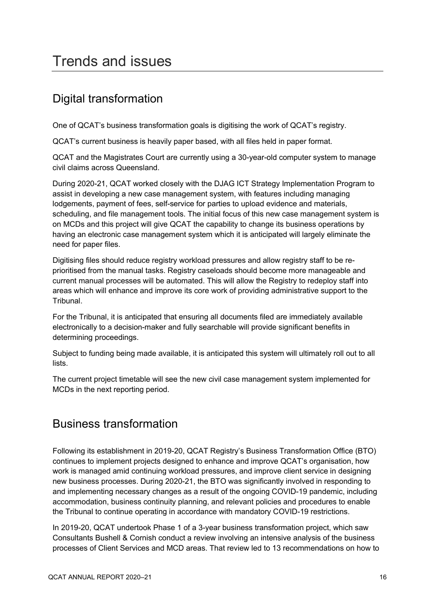## <span id="page-15-0"></span>Trends and issues

### Digital transformation

One of QCAT's business transformation goals is digitising the work of QCAT's registry.

QCAT's current business is heavily paper based, with all files held in paper format.

QCAT and the Magistrates Court are currently using a 30-year-old computer system to manage civil claims across Queensland.

During 2020-21, QCAT worked closely with the DJAG ICT Strategy Implementation Program to assist in developing a new case management system, with features including managing lodgements, payment of fees, self-service for parties to upload evidence and materials, scheduling, and file management tools. The initial focus of this new case management system is on MCDs and this project will give QCAT the capability to change its business operations by having an electronic case management system which it is anticipated will largely eliminate the need for paper files.

Digitising files should reduce registry workload pressures and allow registry staff to be reprioritised from the manual tasks. Registry caseloads should become more manageable and current manual processes will be automated. This will allow the Registry to redeploy staff into areas which will enhance and improve its core work of providing administrative support to the Tribunal.

For the Tribunal, it is anticipated that ensuring all documents filed are immediately available electronically to a decision-maker and fully searchable will provide significant benefits in determining proceedings.

Subject to funding being made available, it is anticipated this system will ultimately roll out to all lists.

The current project timetable will see the new civil case management system implemented for MCDs in the next reporting period.

### Business transformation

Following its establishment in 2019-20, QCAT Registry's Business Transformation Office (BTO) continues to implement projects designed to enhance and improve QCAT's organisation, how work is managed amid continuing workload pressures, and improve client service in designing new business processes. During 2020-21, the BTO was significantly involved in responding to and implementing necessary changes as a result of the ongoing COVID-19 pandemic, including accommodation, business continuity planning, and relevant policies and procedures to enable the Tribunal to continue operating in accordance with mandatory COVID-19 restrictions.

In 2019-20, QCAT undertook Phase 1 of a 3-year business transformation project, which saw Consultants Bushell & Cornish conduct a review involving an intensive analysis of the business processes of Client Services and MCD areas. That review led to 13 recommendations on how to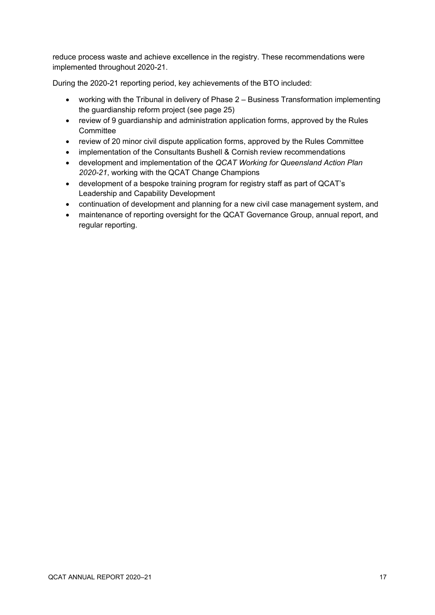reduce process waste and achieve excellence in the registry. These recommendations were implemented throughout 2020-21.

During the 2020-21 reporting period, key achievements of the BTO included:

- working with the Tribunal in delivery of Phase 2 Business Transformation implementing the guardianship reform project (see page 25)
- review of 9 guardianship and administration application forms, approved by the Rules **Committee**
- review of 20 minor civil dispute application forms, approved by the Rules Committee
- implementation of the Consultants Bushell & Cornish review recommendations
- development and implementation of the *QCAT Working for Queensland Action Plan 2020-21*, working with the QCAT Change Champions
- development of a bespoke training program for registry staff as part of QCAT's Leadership and Capability Development
- continuation of development and planning for a new civil case management system, and
- maintenance of reporting oversight for the QCAT Governance Group, annual report, and regular reporting.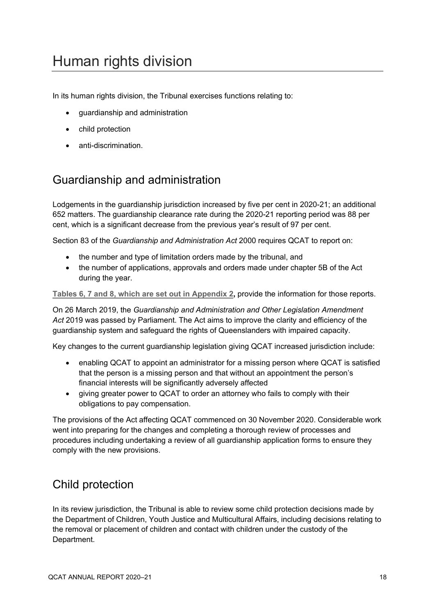# <span id="page-17-0"></span>Human rights division

In its human rights division, the Tribunal exercises functions relating to:

- guardianship and administration
- child protection
- anti-discrimination.

### Guardianship and administration

Lodgements in the guardianship jurisdiction increased by five per cent in 2020-21; an additional 652 matters. The guardianship clearance rate during the 2020-21 reporting period was 88 per cent, which is a significant decrease from the previous year's result of 97 per cent.

Section 83 of the *Guardianship and Administration Act* 2000 requires QCAT to report on:

- the number and type of limitation orders made by the tribunal, and
- the number of applications, approvals and orders made under chapter 5B of the Act during the year.

**Tables 6, 7 [and 8, which are set out in Appendix 2,](#page-32-0)** provide the information for those reports.

On 26 March 2019, the *Guardianship and Administration and Other Legislation Amendment Act* 2019 was passed by Parliament. The Act aims to improve the clarity and efficiency of the guardianship system and safeguard the rights of Queenslanders with impaired capacity.

Key changes to the current guardianship legislation giving QCAT increased jurisdiction include:

- enabling QCAT to appoint an administrator for a missing person where QCAT is satisfied that the person is a missing person and that without an appointment the person's financial interests will be significantly adversely affected
- giving greater power to QCAT to order an attorney who fails to comply with their obligations to pay compensation.

The provisions of the Act affecting QCAT commenced on 30 November 2020. Considerable work went into preparing for the changes and completing a thorough review of processes and procedures including undertaking a review of all guardianship application forms to ensure they comply with the new provisions.

### Child protection

In its review jurisdiction, the Tribunal is able to review some child protection decisions made by the Department of Children, Youth Justice and Multicultural Affairs, including decisions relating to the removal or placement of children and contact with children under the custody of the Department.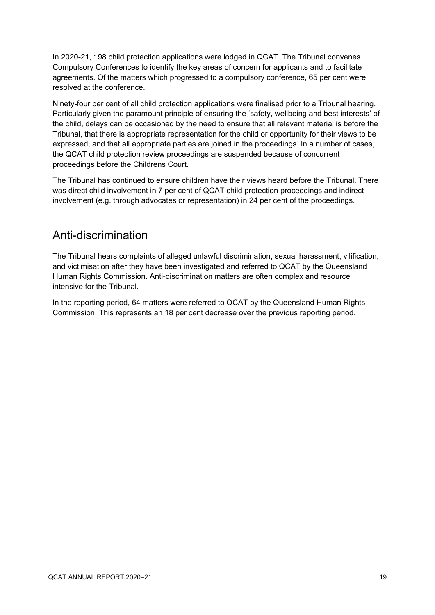In 2020-21, 198 child protection applications were lodged in QCAT. The Tribunal convenes Compulsory Conferences to identify the key areas of concern for applicants and to facilitate agreements. Of the matters which progressed to a compulsory conference, 65 per cent were resolved at the conference.

Ninety-four per cent of all child protection applications were finalised prior to a Tribunal hearing. Particularly given the paramount principle of ensuring the 'safety, wellbeing and best interests' of the child, delays can be occasioned by the need to ensure that all relevant material is before the Tribunal, that there is appropriate representation for the child or opportunity for their views to be expressed, and that all appropriate parties are joined in the proceedings. In a number of cases, the QCAT child protection review proceedings are suspended because of concurrent proceedings before the Childrens Court.

The Tribunal has continued to ensure children have their views heard before the Tribunal. There was direct child involvement in 7 per cent of QCAT child protection proceedings and indirect involvement (e.g. through advocates or representation) in 24 per cent of the proceedings.

#### Anti-discrimination

The Tribunal hears complaints of alleged unlawful discrimination, sexual harassment, vilification, and victimisation after they have been investigated and referred to QCAT by the Queensland Human Rights Commission. Anti-discrimination matters are often complex and resource intensive for the Tribunal.

In the reporting period, 64 matters were referred to QCAT by the Queensland Human Rights Commission. This represents an 18 per cent decrease over the previous reporting period.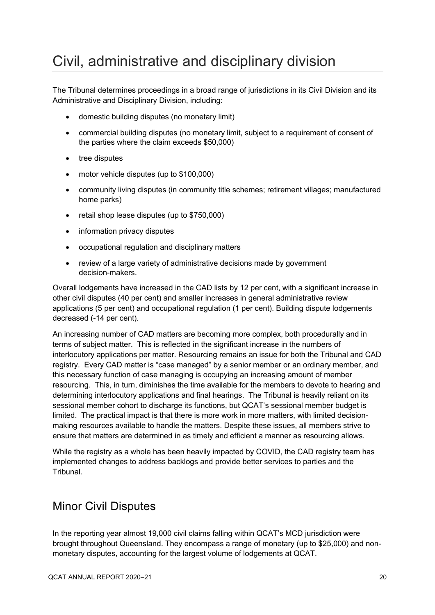# <span id="page-19-0"></span>Civil, administrative and disciplinary division

The Tribunal determines proceedings in a broad range of jurisdictions in its Civil Division and its Administrative and Disciplinary Division, including:

- domestic building disputes (no monetary limit)
- commercial building disputes (no monetary limit, subject to a requirement of consent of the parties where the claim exceeds \$50,000)
- tree disputes
- motor vehicle disputes (up to \$100,000)
- community living disputes (in community title schemes; retirement villages; manufactured home parks)
- retail shop lease disputes (up to \$750,000)
- information privacy disputes
- occupational regulation and disciplinary matters
- review of a large variety of administrative decisions made by government decision-makers.

Overall lodgements have increased in the CAD lists by 12 per cent, with a significant increase in other civil disputes (40 per cent) and smaller increases in general administrative review applications (5 per cent) and occupational regulation (1 per cent). Building dispute lodgements decreased (-14 per cent).

An increasing number of CAD matters are becoming more complex, both procedurally and in terms of subject matter. This is reflected in the significant increase in the numbers of interlocutory applications per matter. Resourcing remains an issue for both the Tribunal and CAD registry. Every CAD matter is "case managed" by a senior member or an ordinary member, and this necessary function of case managing is occupying an increasing amount of member resourcing. This, in turn, diminishes the time available for the members to devote to hearing and determining interlocutory applications and final hearings. The Tribunal is heavily reliant on its sessional member cohort to discharge its functions, but QCAT's sessional member budget is limited. The practical impact is that there is more work in more matters, with limited decisionmaking resources available to handle the matters. Despite these issues, all members strive to ensure that matters are determined in as timely and efficient a manner as resourcing allows.

While the registry as a whole has been heavily impacted by COVID, the CAD registry team has implemented changes to address backlogs and provide better services to parties and the Tribunal.

### Minor Civil Disputes

In the reporting year almost 19,000 civil claims falling within QCAT's MCD jurisdiction were brought throughout Queensland. They encompass a range of monetary (up to \$25,000) and nonmonetary disputes, accounting for the largest volume of lodgements at QCAT.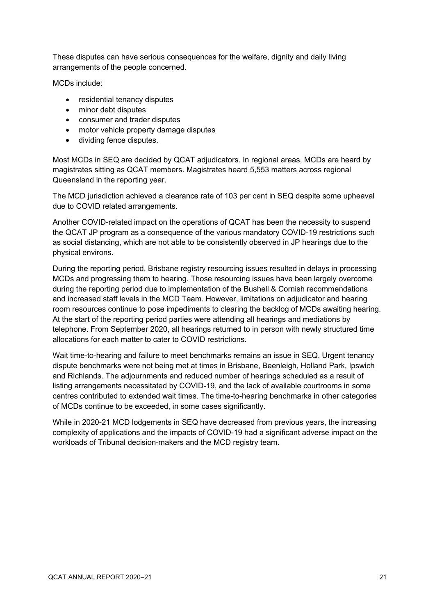These disputes can have serious consequences for the welfare, dignity and daily living arrangements of the people concerned.

MCDs include:

- residential tenancy disputes
- minor debt disputes
- consumer and trader disputes
- motor vehicle property damage disputes
- dividing fence disputes.

Most MCDs in SEQ are decided by QCAT adjudicators. In regional areas, MCDs are heard by magistrates sitting as QCAT members. Magistrates heard 5,553 matters across regional Queensland in the reporting year.

The MCD jurisdiction achieved a clearance rate of 103 per cent in SEQ despite some upheaval due to COVID related arrangements.

Another COVID-related impact on the operations of QCAT has been the necessity to suspend the QCAT JP program as a consequence of the various mandatory COVID-19 restrictions such as social distancing, which are not able to be consistently observed in JP hearings due to the physical environs.

During the reporting period, Brisbane registry resourcing issues resulted in delays in processing MCDs and progressing them to hearing. Those resourcing issues have been largely overcome during the reporting period due to implementation of the Bushell & Cornish recommendations and increased staff levels in the MCD Team. However, limitations on adjudicator and hearing room resources continue to pose impediments to clearing the backlog of MCDs awaiting hearing. At the start of the reporting period parties were attending all hearings and mediations by telephone. From September 2020, all hearings returned to in person with newly structured time allocations for each matter to cater to COVID restrictions.

Wait time-to-hearing and failure to meet benchmarks remains an issue in SEQ. Urgent tenancy dispute benchmarks were not being met at times in Brisbane, Beenleigh, Holland Park, Ipswich and Richlands. The adjournments and reduced number of hearings scheduled as a result of listing arrangements necessitated by COVID-19, and the lack of available courtrooms in some centres contributed to extended wait times. The time-to-hearing benchmarks in other categories of MCDs continue to be exceeded, in some cases significantly.

While in 2020-21 MCD lodgements in SEQ have decreased from previous years, the increasing complexity of applications and the impacts of COVID-19 had a significant adverse impact on the workloads of Tribunal decision-makers and the MCD registry team.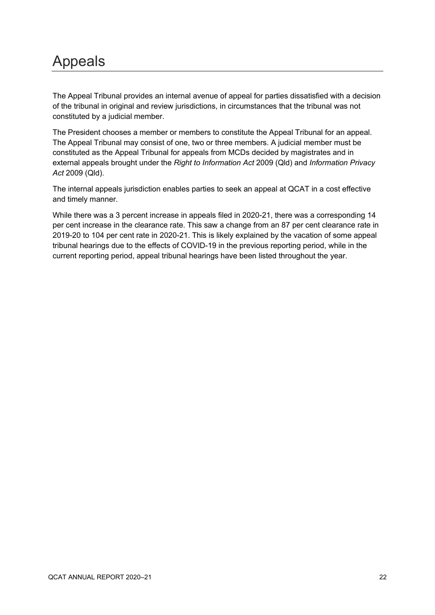## <span id="page-21-0"></span>Appeals

The Appeal Tribunal provides an internal avenue of appeal for parties dissatisfied with a decision of the tribunal in original and review jurisdictions, in circumstances that the tribunal was not constituted by a judicial member.

The President chooses a member or members to constitute the Appeal Tribunal for an appeal. The Appeal Tribunal may consist of one, two or three members. A judicial member must be constituted as the Appeal Tribunal for appeals from MCDs decided by magistrates and in external appeals brought under the *Right to Information Act* 2009 (Qld) and *Information Privacy Act* 2009 (Qld).

The internal appeals jurisdiction enables parties to seek an appeal at QCAT in a cost effective and timely manner.

While there was a 3 percent increase in appeals filed in 2020-21, there was a corresponding 14 per cent increase in the clearance rate. This saw a change from an 87 per cent clearance rate in 2019-20 to 104 per cent rate in 2020-21. This is likely explained by the vacation of some appeal tribunal hearings due to the effects of COVID-19 in the previous reporting period, while in the current reporting period, appeal tribunal hearings have been listed throughout the year.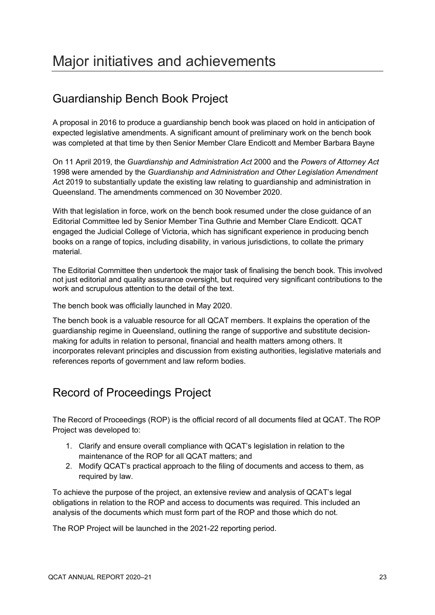### <span id="page-22-0"></span>Guardianship Bench Book Project

A proposal in 2016 to produce a guardianship bench book was placed on hold in anticipation of expected legislative amendments. A significant amount of preliminary work on the bench book was completed at that time by then Senior Member Clare Endicott and Member Barbara Bayne

On 11 April 2019, the *Guardianship and Administration Act* 2000 and the *Powers of Attorney Act* 1998 were amended by the *Guardianship and Administration and Other Legislation Amendment Ac*t 2019 to substantially update the existing law relating to guardianship and administration in Queensland. The amendments commenced on 30 November 2020.

With that legislation in force, work on the bench book resumed under the close guidance of an Editorial Committee led by Senior Member Tina Guthrie and Member Clare Endicott. QCAT engaged the Judicial College of Victoria, which has significant experience in producing bench books on a range of topics, including disability, in various jurisdictions, to collate the primary material.

The Editorial Committee then undertook the major task of finalising the bench book. This involved not just editorial and quality assurance oversight, but required very significant contributions to the work and scrupulous attention to the detail of the text.

The bench book was officially launched in May 2020.

The bench book is a valuable resource for all QCAT members. It explains the operation of the guardianship regime in Queensland, outlining the range of supportive and substitute decisionmaking for adults in relation to personal, financial and health matters among others. It incorporates relevant principles and discussion from existing authorities, legislative materials and references reports of government and law reform bodies.

### Record of Proceedings Project

The Record of Proceedings (ROP) is the official record of all documents filed at QCAT. The ROP Project was developed to:

- 1. Clarify and ensure overall compliance with QCAT's legislation in relation to the maintenance of the ROP for all QCAT matters; and
- 2. Modify QCAT's practical approach to the filing of documents and access to them, as required by law.

To achieve the purpose of the project, an extensive review and analysis of QCAT's legal obligations in relation to the ROP and access to documents was required. This included an analysis of the documents which must form part of the ROP and those which do not.

The ROP Project will be launched in the 2021-22 reporting period.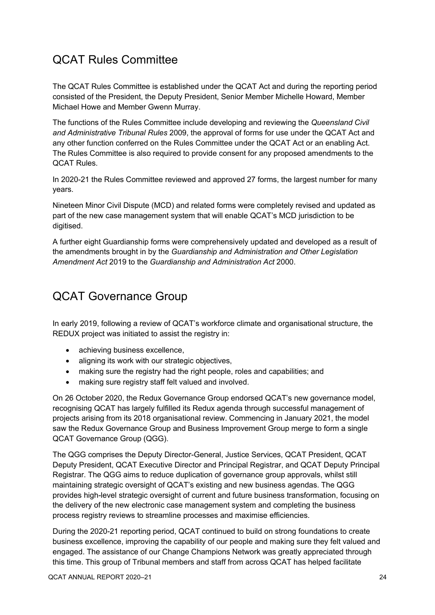### QCAT Rules Committee

The QCAT Rules Committee is established under the QCAT Act and during the reporting period consisted of the President, the Deputy President, Senior Member Michelle Howard, Member Michael Howe and Member Gwenn Murray.

The functions of the Rules Committee include developing and reviewing the *Queensland Civil and Administrative Tribunal Rules* 2009, the approval of forms for use under the QCAT Act and any other function conferred on the Rules Committee under the QCAT Act or an enabling Act. The Rules Committee is also required to provide consent for any proposed amendments to the QCAT Rules.

In 2020-21 the Rules Committee reviewed and approved 27 forms, the largest number for many years.

Nineteen Minor Civil Dispute (MCD) and related forms were completely revised and updated as part of the new case management system that will enable QCAT's MCD jurisdiction to be digitised.

A further eight Guardianship forms were comprehensively updated and developed as a result of the amendments brought in by the *Guardianship and Administration and Other Legislation Amendment Act* 2019 to the *Guardianship and Administration Act* 2000.

### QCAT Governance Group

In early 2019, following a review of QCAT's workforce climate and organisational structure, the REDUX project was initiated to assist the registry in:

- achieving business excellence,
- aligning its work with our strategic objectives,
- making sure the registry had the right people, roles and capabilities; and
- making sure registry staff felt valued and involved.

On 26 October 2020, the Redux Governance Group endorsed QCAT's new governance model, recognising QCAT has largely fulfilled its Redux agenda through successful management of projects arising from its 2018 organisational review. Commencing in January 2021, the model saw the Redux Governance Group and Business Improvement Group merge to form a single QCAT Governance Group (QGG).

The QGG comprises the Deputy Director-General, Justice Services, QCAT President, QCAT Deputy President, QCAT Executive Director and Principal Registrar, and QCAT Deputy Principal Registrar. The QGG aims to reduce duplication of governance group approvals, whilst still maintaining strategic oversight of QCAT's existing and new business agendas. The QGG provides high-level strategic oversight of current and future business transformation, focusing on the delivery of the new electronic case management system and completing the business process registry reviews to streamline processes and maximise efficiencies.

During the 2020-21 reporting period, QCAT continued to build on strong foundations to create business excellence, improving the capability of our people and making sure they felt valued and engaged. The assistance of our Change Champions Network was greatly appreciated through this time. This group of Tribunal members and staff from across QCAT has helped facilitate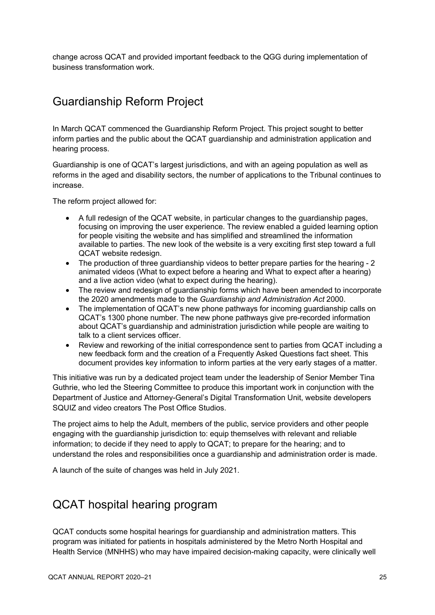change across QCAT and provided important feedback to the QGG during implementation of business transformation work.

### Guardianship Reform Project

In March QCAT commenced the Guardianship Reform Project. This project sought to better inform parties and the public about the QCAT guardianship and administration application and hearing process.

Guardianship is one of QCAT's largest jurisdictions, and with an ageing population as well as reforms in the aged and disability sectors, the number of applications to the Tribunal continues to increase.

The reform project allowed for:

- A full redesign of the QCAT website, in particular changes to the guardianship pages, focusing on improving the user experience. The review enabled a guided learning option for people visiting the website and has simplified and streamlined the information available to parties. The new look of the website is a very exciting first step toward a full QCAT website redesign.
- The production of three guardianship videos to better prepare parties for the hearing 2 animated videos (What to expect before a hearing and What to expect after a hearing) and a live action video (what to expect during the hearing).
- The review and redesign of guardianship forms which have been amended to incorporate the 2020 amendments made to the *Guardianship and Administration Act* 2000.
- The implementation of QCAT's new phone pathways for incoming guardianship calls on QCAT's 1300 phone number. The new phone pathways give pre-recorded information about QCAT's guardianship and administration jurisdiction while people are waiting to talk to a client services officer.
- Review and reworking of the initial correspondence sent to parties from QCAT including a new feedback form and the creation of a Frequently Asked Questions fact sheet. This document provides key information to inform parties at the very early stages of a matter.

This initiative was run by a dedicated project team under the leadership of Senior Member Tina Guthrie, who led the Steering Committee to produce this important work in conjunction with the Department of Justice and Attorney-General's Digital Transformation Unit, website developers SQUIZ and video creators The Post Office Studios.

The project aims to help the Adult, members of the public, service providers and other people engaging with the guardianship jurisdiction to: equip themselves with relevant and reliable information; to decide if they need to apply to QCAT; to prepare for the hearing; and to understand the roles and responsibilities once a guardianship and administration order is made.

A launch of the suite of changes was held in July 2021.

### QCAT hospital hearing program

QCAT conducts some hospital hearings for guardianship and administration matters. This program was initiated for patients in hospitals administered by the Metro North Hospital and Health Service (MNHHS) who may have impaired decision-making capacity, were clinically well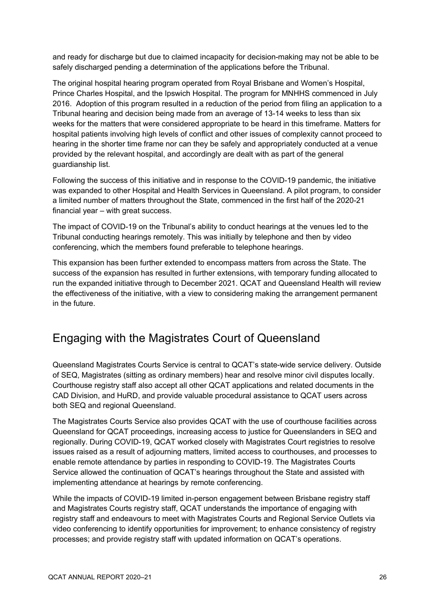and ready for discharge but due to claimed incapacity for decision-making may not be able to be safely discharged pending a determination of the applications before the Tribunal.

The original hospital hearing program operated from Royal Brisbane and Women's Hospital, Prince Charles Hospital, and the Ipswich Hospital. The program for MNHHS commenced in July 2016. Adoption of this program resulted in a reduction of the period from filing an application to a Tribunal hearing and decision being made from an average of 13-14 weeks to less than six weeks for the matters that were considered appropriate to be heard in this timeframe. Matters for hospital patients involving high levels of conflict and other issues of complexity cannot proceed to hearing in the shorter time frame nor can they be safely and appropriately conducted at a venue provided by the relevant hospital, and accordingly are dealt with as part of the general guardianship list.

Following the success of this initiative and in response to the COVID-19 pandemic, the initiative was expanded to other Hospital and Health Services in Queensland. A pilot program, to consider a limited number of matters throughout the State, commenced in the first half of the 2020-21 financial year – with great success.

The impact of COVID-19 on the Tribunal's ability to conduct hearings at the venues led to the Tribunal conducting hearings remotely. This was initially by telephone and then by video conferencing, which the members found preferable to telephone hearings.

This expansion has been further extended to encompass matters from across the State. The success of the expansion has resulted in further extensions, with temporary funding allocated to run the expanded initiative through to December 2021. QCAT and Queensland Health will review the effectiveness of the initiative, with a view to considering making the arrangement permanent in the future.

### Engaging with the Magistrates Court of Queensland

Queensland Magistrates Courts Service is central to QCAT's state-wide service delivery. Outside of SEQ, Magistrates (sitting as ordinary members) hear and resolve minor civil disputes locally. Courthouse registry staff also accept all other QCAT applications and related documents in the CAD Division, and HuRD, and provide valuable procedural assistance to QCAT users across both SEQ and regional Queensland.

The Magistrates Courts Service also provides QCAT with the use of courthouse facilities across Queensland for QCAT proceedings, increasing access to justice for Queenslanders in SEQ and regionally. During COVID-19, QCAT worked closely with Magistrates Court registries to resolve issues raised as a result of adjourning matters, limited access to courthouses, and processes to enable remote attendance by parties in responding to COVID-19. The Magistrates Courts Service allowed the continuation of QCAT's hearings throughout the State and assisted with implementing attendance at hearings by remote conferencing.

While the impacts of COVID-19 limited in-person engagement between Brisbane registry staff and Magistrates Courts registry staff, QCAT understands the importance of engaging with registry staff and endeavours to meet with Magistrates Courts and Regional Service Outlets via video conferencing to identify opportunities for improvement; to enhance consistency of registry processes; and provide registry staff with updated information on QCAT's operations.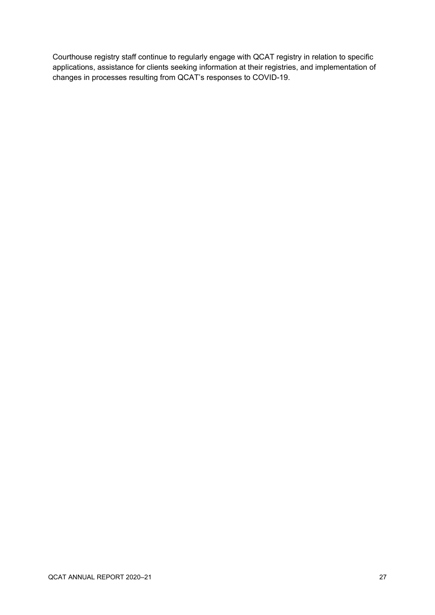Courthouse registry staff continue to regularly engage with QCAT registry in relation to specific applications, assistance for clients seeking information at their registries, and implementation of changes in processes resulting from QCAT's responses to COVID-19.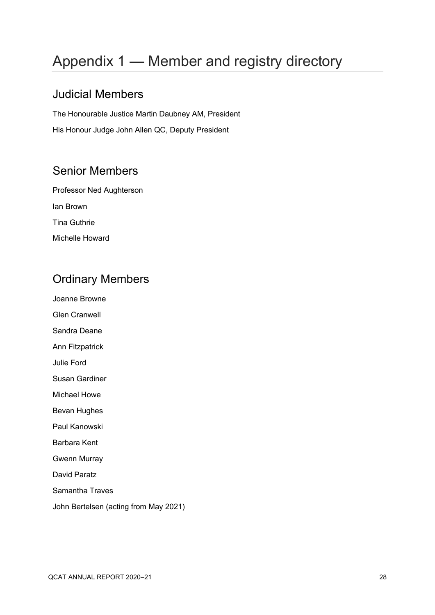# <span id="page-27-0"></span>Appendix 1 — Member and registry directory

### Judicial Members

The Honourable Justice Martin Daubney AM, President His Honour Judge John Allen QC, Deputy President

### Senior Members

Professor Ned Aughterson Ian Brown Tina Guthrie Michelle Howard

### Ordinary Members

Joanne Browne

Glen Cranwell

Sandra Deane

Ann Fitzpatrick

- Julie Ford
- Susan Gardiner
- Michael Howe
- Bevan Hughes
- Paul Kanowski
- Barbara Kent
- Gwenn Murray

David Paratz

- Samantha Traves
- John Bertelsen (acting from May 2021)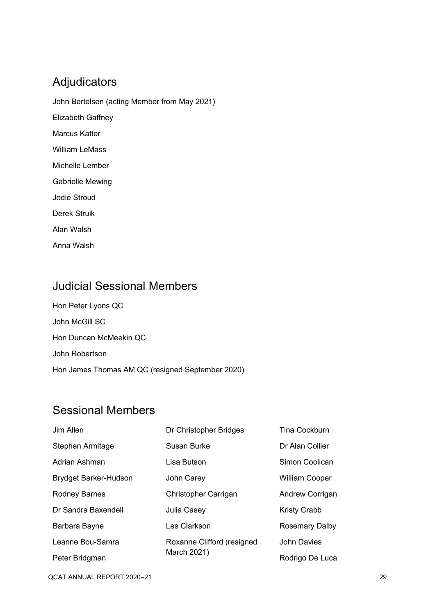### Adjudicators

- John Bertelsen (acting Member from May 2021)
- Elizabeth Gaffney
- Marcus Katter
- William LeMass
- Michelle Lember
- Gabrielle Mewing
- Jodie Stroud
- Derek Struik
- Alan Walsh
- Anna Walsh

### Judicial Sessional Members

Hon Peter Lyons QC John McGill SC Hon Duncan McMeekin QC John Robertson Hon James Thomas AM QC (resigned September 2020)

### Sessional Members

| Jim Allen                    | Dr Christopher Bridges     | <b>Tina Cockburn</b>  |
|------------------------------|----------------------------|-----------------------|
| Stephen Armitage             | Susan Burke                | Dr Alan Collier       |
| Adrian Ashman                | Lisa Butson                | Simon Coolican        |
| <b>Brydget Barker-Hudson</b> | John Carey                 | <b>William Cooper</b> |
| <b>Rodney Barnes</b>         | Christopher Carrigan       | Andrew Corrigan       |
| Dr Sandra Baxendell          | Julia Casey                | <b>Kristy Crabb</b>   |
| Barbara Bayne                | Les Clarkson               | Rosemary Dalby        |
| Leanne Bou-Samra             | Roxanne Clifford (resigned | <b>John Davies</b>    |
| Peter Bridgman               | March 2021)                | Rodrigo De Luca       |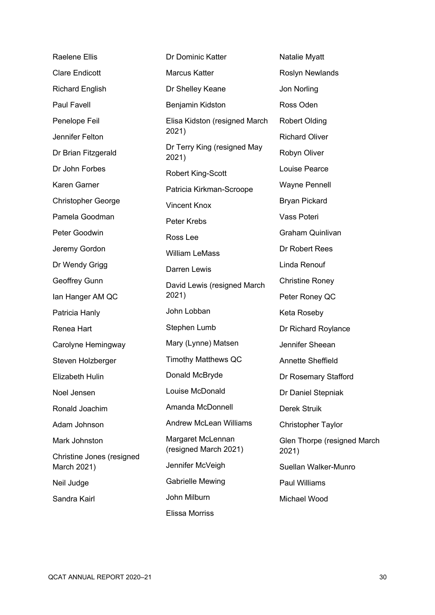Raelene Ellis Clare Endicott Richard English Paul Favell Penelope Feil Jennifer Felton Dr Brian Fitzgerald Dr John Forbes Karen Garner Christopher George Pamela Goodman Peter Goodwin Jeremy Gordon Dr Wendy Grigg Geoffrey Gunn Ian Hanger AM QC Patricia Hanly Renea Hart Carolyne Hemingway Steven Holzberger Elizabeth Hulin Noel Jensen Ronald Joachim Adam Johnson Mark Johnston Christine Jones (resigned March 2021) Neil Judge Sandra Kairl Dr Dominic Katter Marcus Katter Dr Shelley Keane Benjamin Kidston Elisa Kidston (resigned March 2021) Dr Terry King (resigned May 2021) Robert King-Scott Patricia Kirkman-Scroope Vincent Knox Peter Krebs Ross Lee William LeMass Darren Lewis David Lewis (resigned March 2021) John Lobban Stephen Lumb Mary (Lynne) Matsen Timothy Matthews QC Donald McBryde Louise McDonald Amanda McDonnell Andrew McLean Williams Margaret McLennan (resigned March 2021) Jennifer McVeigh Gabrielle Mewing John Milburn Elissa Morriss

Natalie Myatt Roslyn Newlands Jon Norling Ross Oden Robert Olding Richard Oliver Robyn Oliver Louise Pearce Wayne Pennell Bryan Pickard Vass Poteri Graham Quinlivan Dr Robert Rees Linda Renouf Christine Roney Peter Roney QC Keta Roseby Dr Richard Roylance Jennifer Sheean Annette Sheffield Dr Rosemary Stafford Dr Daniel Stepniak Derek Struik Christopher Taylor Glen Thorpe (resigned March 2021) Suellan Walker-Munro Paul Williams Michael Wood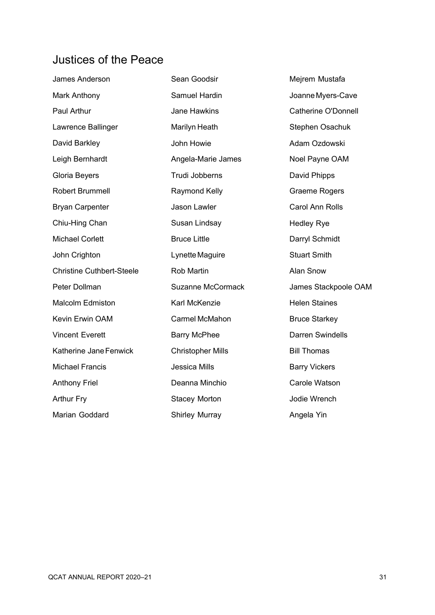### Justices of the Peace

| James Anderson                   | Sean Goodsir             | Mejrem Mustafa             |
|----------------------------------|--------------------------|----------------------------|
| Mark Anthony                     | Samuel Hardin            | Joanne Myers-Cave          |
| Paul Arthur                      | <b>Jane Hawkins</b>      | <b>Catherine O'Donnell</b> |
| Lawrence Ballinger               | Marilyn Heath            | Stephen Osachuk            |
| David Barkley                    | John Howie               | Adam Ozdowski              |
| Leigh Bernhardt                  | Angela-Marie James       | Noel Payne OAM             |
| Gloria Beyers                    | Trudi Jobberns           | David Phipps               |
| <b>Robert Brummell</b>           | Raymond Kelly            | Graeme Rogers              |
| <b>Bryan Carpenter</b>           | Jason Lawler             | <b>Carol Ann Rolls</b>     |
| Chiu-Hing Chan                   | Susan Lindsay            | <b>Hedley Rye</b>          |
| <b>Michael Corlett</b>           | <b>Bruce Little</b>      | Darryl Schmidt             |
| John Crighton                    | Lynette Maguire          | <b>Stuart Smith</b>        |
| <b>Christine Cuthbert-Steele</b> | <b>Rob Martin</b>        | Alan Snow                  |
| Peter Dollman                    | <b>Suzanne McCormack</b> | James Stackpoole OAM       |
| <b>Malcolm Edmiston</b>          | Karl McKenzie            | <b>Helen Staines</b>       |
| Kevin Erwin OAM                  | Carmel McMahon           | <b>Bruce Starkey</b>       |
| <b>Vincent Everett</b>           | <b>Barry McPhee</b>      | <b>Darren Swindells</b>    |
| Katherine Jane Fenwick           | <b>Christopher Mills</b> | <b>Bill Thomas</b>         |
| <b>Michael Francis</b>           | Jessica Mills            | <b>Barry Vickers</b>       |
| <b>Anthony Friel</b>             | Deanna Minchio           | Carole Watson              |
| <b>Arthur Fry</b>                | <b>Stacey Morton</b>     | Jodie Wrench               |
| Marian Goddard                   | <b>Shirley Murray</b>    | Angela Yin                 |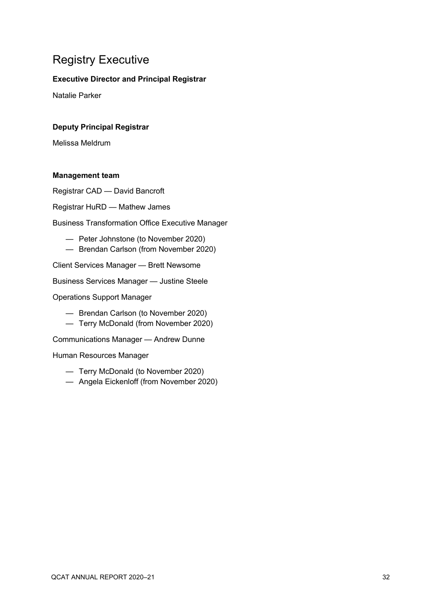### Registry Executive

#### **Executive Director and Principal Registrar**

Natalie Parker

#### **Deputy Principal Registrar**

Melissa Meldrum

#### **Management team**

Registrar CAD — David Bancroft

Registrar HuRD — Mathew James

Business Transformation Office Executive Manager

- Peter Johnstone (to November 2020)
- Brendan Carlson (from November 2020)

Client Services Manager — Brett Newsome

Business Services Manager — Justine Steele

Operations Support Manager

- Brendan Carlson (to November 2020)
- Terry McDonald (from November 2020)

Communications Manager — Andrew Dunne

Human Resources Manager

- Terry McDonald (to November 2020)
- Angela Eickenloff (from November 2020)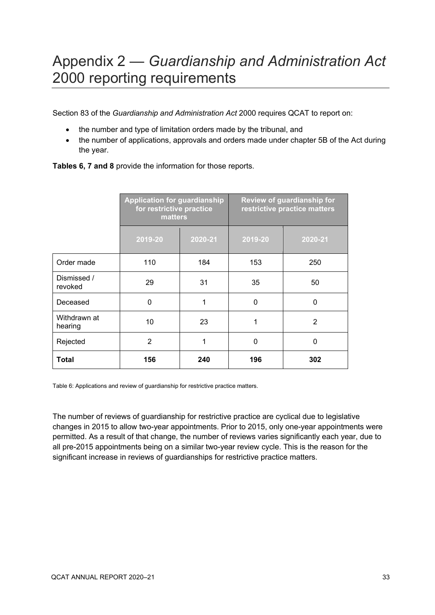## <span id="page-32-0"></span>Appendix 2 — *Guardianship and Administration Act* 2000 reporting requirements

Section 83 of the *Guardianship and Administration Act* 2000 requires QCAT to report on:

- the number and type of limitation orders made by the tribunal, and
- the number of applications, approvals and orders made under chapter 5B of the Act during the year.

|                         | <b>Application for guardianship</b><br>for restrictive practice<br>matters |         | <b>Review of guardianship for</b><br>restrictive practice matters |                |  |
|-------------------------|----------------------------------------------------------------------------|---------|-------------------------------------------------------------------|----------------|--|
|                         | 2019-20                                                                    | 2020-21 | 2019-20                                                           | 2020-21        |  |
| Order made              | 110                                                                        | 184     | 153                                                               | 250            |  |
| Dismissed /<br>revoked  | 29                                                                         | 31      | 35                                                                | 50             |  |
| Deceased                | 0                                                                          | 1       | 0                                                                 | $\mathbf 0$    |  |
| Withdrawn at<br>hearing | 10                                                                         | 23      | 1                                                                 | $\overline{2}$ |  |
| Rejected                | $\overline{2}$                                                             | 1       | 0                                                                 | $\mathbf 0$    |  |
| Total                   | 156                                                                        | 240     | 196                                                               | 302            |  |

**Tables 6, 7 and 8** provide the information for those reports.

Table 6: Applications and review of guardianship for restrictive practice matters.

The number of reviews of guardianship for restrictive practice are cyclical due to legislative changes in 2015 to allow two-year appointments. Prior to 2015, only one-year appointments were permitted. As a result of that change, the number of reviews varies significantly each year, due to all pre-2015 appointments being on a similar two-year review cycle. This is the reason for the significant increase in reviews of guardianships for restrictive practice matters.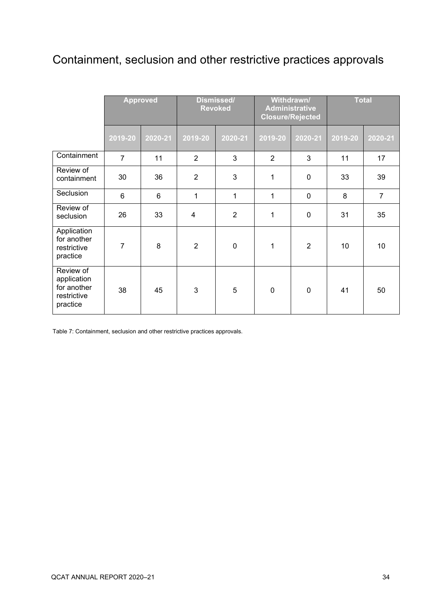### Containment, seclusion and other restrictive practices approvals

|                                                                    |                | <b>Approved</b> |                | Dismissed/<br><b>Revoked</b> | Withdrawn/<br><b>Administrative</b><br><b>Closure/Rejected</b> |                | <b>Total</b> |                |
|--------------------------------------------------------------------|----------------|-----------------|----------------|------------------------------|----------------------------------------------------------------|----------------|--------------|----------------|
|                                                                    | 2019-20        | 2020-21         | 2019-20        | 2020-21                      | 2019-20                                                        | 2020-21        | 2019-20      | 2020-21        |
| Containment                                                        | $\overline{7}$ | 11              | 2              | 3                            | $\overline{2}$                                                 | 3              | 11           | 17             |
| Review of<br>containment                                           | 30             | 36              | $\overline{2}$ | 3                            | 1                                                              | $\mathbf 0$    | 33           | 39             |
| Seclusion                                                          | $6\phantom{1}$ | $6\phantom{1}6$ | 1              | 1                            | $\mathbf{1}$                                                   | $\overline{0}$ | 8            | $\overline{7}$ |
| Review of<br>seclusion                                             | 26             | 33              | 4              | $\overline{2}$               | 1                                                              | $\overline{0}$ | 31           | 35             |
| Application<br>for another<br>restrictive<br>practice              | $\overline{7}$ | 8               | $\overline{2}$ | $\mathbf 0$                  | $\mathbf{1}$                                                   | $\overline{2}$ | 10           | 10             |
| Review of<br>application<br>for another<br>restrictive<br>practice | 38             | 45              | 3              | 5                            | $\mathbf 0$                                                    | $\mathbf 0$    | 41           | 50             |

Table 7: Containment, seclusion and other restrictive practices approvals.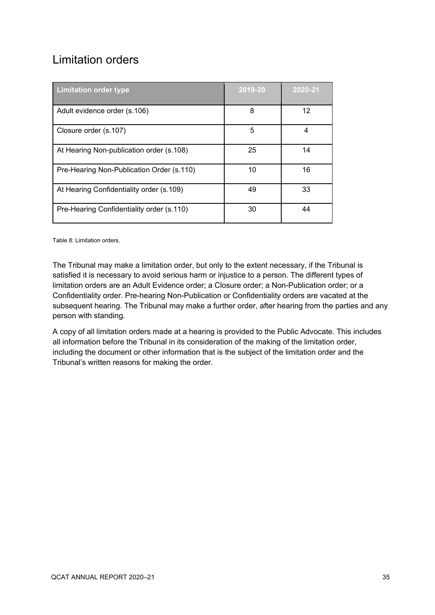### Limitation orders

| <b>Limitation order type</b>              | 2019-20 | 2020-21 |
|-------------------------------------------|---------|---------|
| Adult evidence order (s.106)              | 8       | 12      |
| Closure order (s.107)                     | 5       | 4       |
| At Hearing Non-publication order (s.108)  | 25      | 14      |
| Pre-Hearing Non-Publication Order (s.110) | 10      | 16      |
| At Hearing Confidentiality order (s.109)  | 49      | 33      |
| Pre-Hearing Confidentiality order (s.110) | 30      | 44      |

Table 8: Limitation orders.

The Tribunal may make a limitation order, but only to the extent necessary, if the Tribunal is satisfied it is necessary to avoid serious harm or injustice to a person. The different types of limitation orders are an Adult Evidence order; a Closure order; a Non-Publication order; or a Confidentiality order. Pre-hearing Non-Publication or Confidentiality orders are vacated at the subsequent hearing. The Tribunal may make a further order, after hearing from the parties and any person with standing.

A copy of all limitation orders made at a hearing is provided to the Public Advocate. This includes all information before the Tribunal in its consideration of the making of the limitation order, including the document or other information that is the subject of the limitation order and the Tribunal's written reasons for making the order.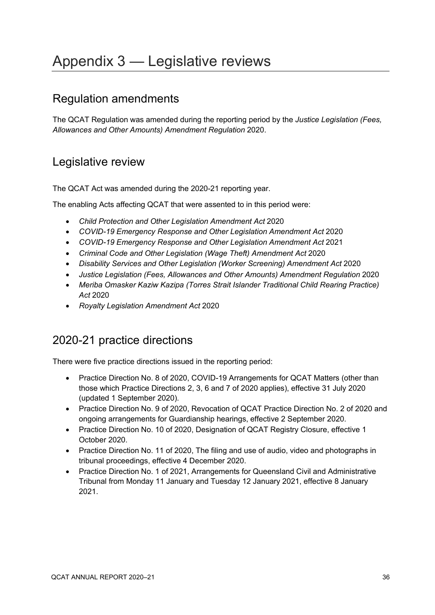# <span id="page-35-0"></span>Appendix 3 — Legislative reviews

#### Regulation amendments

The QCAT Regulation was amended during the reporting period by the *Justice Legislation (Fees, Allowances and Other Amounts) Amendment Regulation* 2020.

#### Legislative review

The QCAT Act was amended during the 2020-21 reporting year.

The enabling Acts affecting QCAT that were assented to in this period were:

- *Child Protection and Other Legislation Amendment Act* 2020
- *COVID-19 Emergency Response and Other Legislation Amendment Act* 2020
- *COVID-19 Emergency Response and Other Legislation Amendment Act* 2021
- *Criminal Code and Other Legislation (Wage Theft) Amendment Act* 2020
- *Disability Services and Other Legislation (Worker Screening) Amendment Act* 2020
- *Justice Legislation (Fees, Allowances and Other Amounts) Amendment Regulation* 2020
- *Meriba Omasker Kaziw Kazipa (Torres Strait Islander Traditional Child Rearing Practice) Act* 2020
- *Royalty Legislation Amendment Act* 2020

### 2020-21 practice directions

There were five practice directions issued in the reporting period:

- Practice Direction No. 8 of 2020, COVID-19 Arrangements for QCAT Matters (other than those which Practice Directions 2, 3, 6 and 7 of 2020 applies), effective 31 July 2020 (updated 1 September 2020).
- Practice Direction No. 9 of 2020, Revocation of QCAT Practice Direction No. 2 of 2020 and ongoing arrangements for Guardianship hearings, effective 2 September 2020.
- Practice Direction No. 10 of 2020, Designation of QCAT Registry Closure, effective 1 October 2020.
- Practice Direction No. 11 of 2020, The filing and use of audio, video and photographs in tribunal proceedings, effective 4 December 2020.
- Practice Direction No. 1 of 2021, Arrangements for Queensland Civil and Administrative Tribunal from Monday 11 January and Tuesday 12 January 2021, effective 8 January 2021.